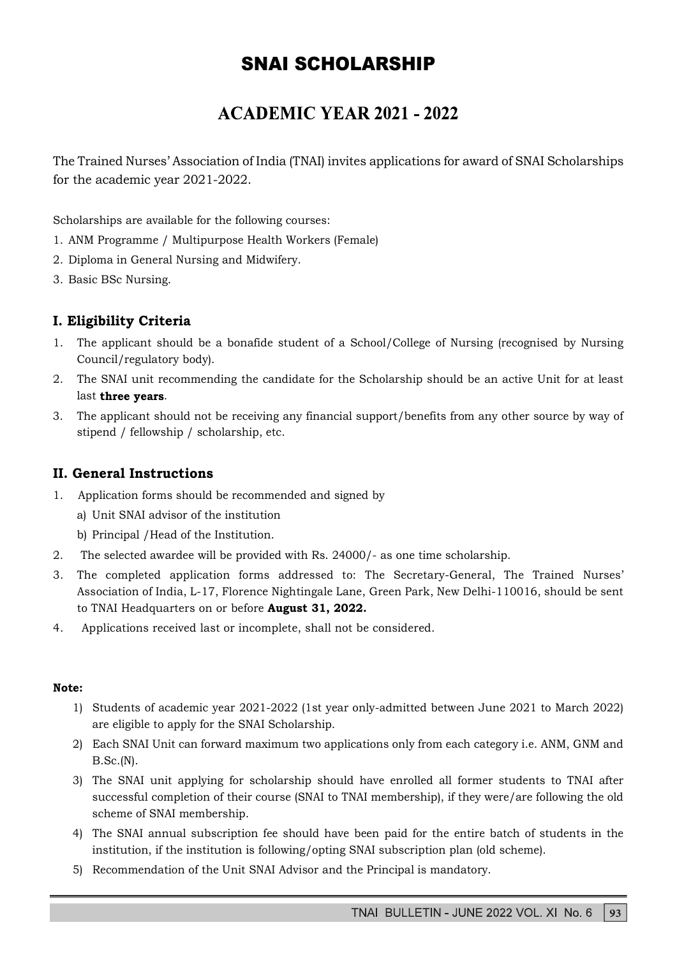# SNAI SCHOLARSHIP

## **ACADEMIC YEAR 2021 - 2022**

The Trained Nurses' Association of India (TNAI) invites applications for award of SNAI Scholarships for the academic year 2021-2022.

Scholarships are available for the following courses:

- 1. ANM Programme / Multipurpose Health Workers (Female)
- 2. Diploma in General Nursing and Midwifery.
- 3. Basic BSc Nursing.

#### I. Eligibility Criteria

- 1. The applicant should be a bonafide student of a School/College of Nursing (recognised by Nursing Council/regulatory body).
- 2. The SNAI unit recommending the candidate for the Scholarship should be an active Unit for at least last **three years**.<br>3. The applicant should not be receiving any financial support/benefits from any other source by way of Scholarships are available for the following courses:<br>
1. ANM Programme / Multipurpose Health Workers (Female)<br>
2. Diploma in General Nursing and Midwifery.<br>
3. Basic BSc Nursing.<br>
1. **Eligibility Criteria**<br>
1. The applica
- stipend / fellowship / scholarship, etc.

### II. General Instructions

- - a) Unit SNAI advisor of the institution
	- b) Principal /Head of the Institution.
- 2. The selected awardee will be provided with Rs. 24000/- as one time scholarship.
- 3. The completed application forms addressed to: The Secretary-General, The Trained Nurses Association of India, L-17, Florence Nightingale Lane, Green Park, New Delhi-110016, should be sent to TNAI Headquarters on or before August 31, 2022. 1) Students of academic year 2021-2022 (1st year only-admitted between June 2021 to March 2022)<br>
2) Duri SNAI advisor of the institution<br>
2) Frincipal /Head of the Institution<br>
2) Frincipal /Head of the Institution<br>
2) Fri **General Instructions**<br>
Application forms should be recommended and signed by<br>
a) Unit SNAI advisor of the institution.<br>
The selected awardee will be provided with Rs. 24000/- as one time scholarship.<br>
The completed appli Application forms should be recommended and signed by<br>
3) Unit SNAI advisor of the institution<br>
1) Phricopal /Head of the Institution<br>
3) Phricopal /Head of the Institution.<br>
The selected awardee will be provided with Rs. The selected awardee will be provided with Rs. 24000/- as one time scholarship.<br>
The completed application forms addressed to: The Secretary-General, The Trained Nurses'<br>
Association of India, 1-17, Florence Nightingale L
- 4. Applications received last or incomplete, shall not be considered.

#### Note:

- are eligible to apply for the SNAI Scholarship.
- B.Sc.(N).
- successful completion of their course (SNAI to TNAI membership), if they were/are following the old scheme of SNAI membership. France Commendation of India, L-17, Florence Nightingale Lane, Green Park, New Delhiton to TNAI Headquarters on or before **August 31, 2022.**<br>
Applications received last or incomplete, shall not be considered.<br> **e:**<br>
1) Stu
- institution, if the institution is following/opting SNAI subscription plan (old scheme).
-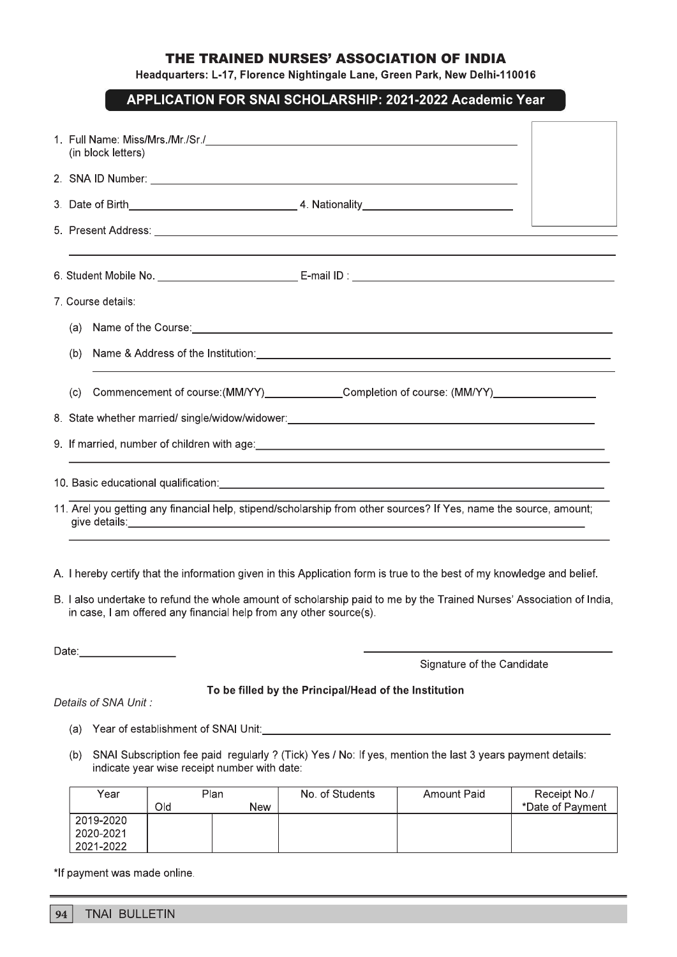#### THE TRAINED NURSES' ASSOCIATION OF INDIA

Headquarters: L-17, Florence Nightingale Lane, Green Park, New Delhi-110016

## APPLICATION FOR SNAI SCHOLARSHIP: 2021-2022 Academic Year

|                                                                                                                                                                                             | 1. Full Name: Miss/Mrs./Mr./Sr./ 2010 00:00 00:00 00:00 00:00 00:00 00:00 00:00 00:00 00:00 00:00 00:00 00:00 00:00 00:00 00:00 00:00 00:00 00:00 00:00 00:00 00:00 00:00 00:00 00:00 00:00 00:00 00:00 00:00 00:00 00:00 00:0<br>(in block letters)                                                                                                      |  |  |  |  |  |  |  |  |  |
|---------------------------------------------------------------------------------------------------------------------------------------------------------------------------------------------|-----------------------------------------------------------------------------------------------------------------------------------------------------------------------------------------------------------------------------------------------------------------------------------------------------------------------------------------------------------|--|--|--|--|--|--|--|--|--|
|                                                                                                                                                                                             |                                                                                                                                                                                                                                                                                                                                                           |  |  |  |  |  |  |  |  |  |
|                                                                                                                                                                                             |                                                                                                                                                                                                                                                                                                                                                           |  |  |  |  |  |  |  |  |  |
|                                                                                                                                                                                             |                                                                                                                                                                                                                                                                                                                                                           |  |  |  |  |  |  |  |  |  |
|                                                                                                                                                                                             |                                                                                                                                                                                                                                                                                                                                                           |  |  |  |  |  |  |  |  |  |
|                                                                                                                                                                                             |                                                                                                                                                                                                                                                                                                                                                           |  |  |  |  |  |  |  |  |  |
|                                                                                                                                                                                             | 7. Course details:                                                                                                                                                                                                                                                                                                                                        |  |  |  |  |  |  |  |  |  |
|                                                                                                                                                                                             | (a) Name of the Course: the contract of the Course of the Course of the Course of the Course of the Course of the Course of the Course of the Course of the Course of the Course of the Course of the Course of the Course of                                                                                                                             |  |  |  |  |  |  |  |  |  |
|                                                                                                                                                                                             | (b)                                                                                                                                                                                                                                                                                                                                                       |  |  |  |  |  |  |  |  |  |
|                                                                                                                                                                                             | Commencement of course:(MM/YY)______________Completion of course: (MM/YY)______________<br>(c)                                                                                                                                                                                                                                                            |  |  |  |  |  |  |  |  |  |
|                                                                                                                                                                                             | 8. State whether married/single/widow/widower:                                                                                                                                                                                                                                                                                                            |  |  |  |  |  |  |  |  |  |
|                                                                                                                                                                                             |                                                                                                                                                                                                                                                                                                                                                           |  |  |  |  |  |  |  |  |  |
|                                                                                                                                                                                             |                                                                                                                                                                                                                                                                                                                                                           |  |  |  |  |  |  |  |  |  |
|                                                                                                                                                                                             |                                                                                                                                                                                                                                                                                                                                                           |  |  |  |  |  |  |  |  |  |
|                                                                                                                                                                                             | 11. Arel you getting any financial help, stipend/scholarship from other sources? If Yes, name the source, amount;<br>give details: <u>with a series of the series of the series of the series of the series of the series of the series of the series of the series of the series of the series of the series of the series of the series of the seri</u> |  |  |  |  |  |  |  |  |  |
|                                                                                                                                                                                             |                                                                                                                                                                                                                                                                                                                                                           |  |  |  |  |  |  |  |  |  |
|                                                                                                                                                                                             | A. I hereby certify that the information given in this Application form is true to the best of my knowledge and belief.                                                                                                                                                                                                                                   |  |  |  |  |  |  |  |  |  |
| B. I also undertake to refund the whole amount of scholarship paid to me by the Trained Nurses' Association of India,<br>in case, I am offered any financial help from any other source(s). |                                                                                                                                                                                                                                                                                                                                                           |  |  |  |  |  |  |  |  |  |
|                                                                                                                                                                                             | Date:                                                                                                                                                                                                                                                                                                                                                     |  |  |  |  |  |  |  |  |  |
|                                                                                                                                                                                             | Signature of the Candidate                                                                                                                                                                                                                                                                                                                                |  |  |  |  |  |  |  |  |  |
| To be filled by the Principal/Head of the Institution<br>Details of SNA Unit:                                                                                                               |                                                                                                                                                                                                                                                                                                                                                           |  |  |  |  |  |  |  |  |  |
|                                                                                                                                                                                             | Year of establishment of SNAI Unit: New York Changes and Changes and Changes and Changes and Changes and Changes and Changes and Changes and Changes and Changes and Changes and Changes and Changes and Changes and Changes a<br>(a)                                                                                                                     |  |  |  |  |  |  |  |  |  |
|                                                                                                                                                                                             | SNAI Subscription fee paid regularly ? (Tick) Yes / No: If yes, mention the last 3 years payment details:<br>(b)<br>indicate year wise receipt number with date:                                                                                                                                                                                          |  |  |  |  |  |  |  |  |  |
|                                                                                                                                                                                             | No. of Students<br><b>Amount Paid</b><br>Plan<br>Receipt No./<br>Year                                                                                                                                                                                                                                                                                     |  |  |  |  |  |  |  |  |  |

| Year      | Plan |     | No. of Students | Amount Paid | Receipt No./     |  |  |
|-----------|------|-----|-----------------|-------------|------------------|--|--|
|           | Old  | New |                 |             | *Date of Payment |  |  |
| 2019-2020 |      |     |                 |             |                  |  |  |
| 2020-2021 |      |     |                 |             |                  |  |  |
| 2021-2022 |      |     |                 |             |                  |  |  |

\*If payment was made online.